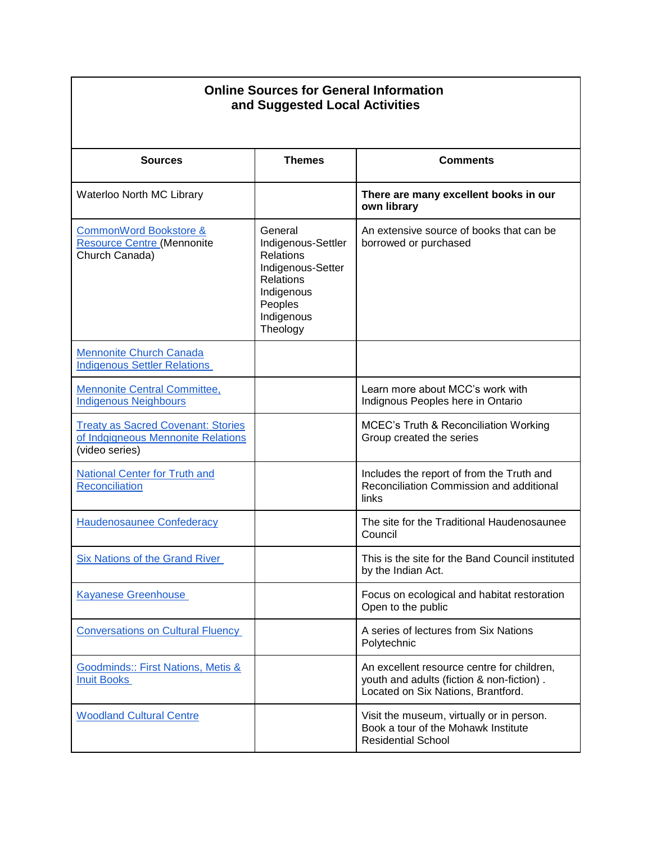| <b>Online Sources for General Information</b><br>and Suggested Local Activities                   |                                                                                                                                               |                                                                                                                               |
|---------------------------------------------------------------------------------------------------|-----------------------------------------------------------------------------------------------------------------------------------------------|-------------------------------------------------------------------------------------------------------------------------------|
| <b>Sources</b>                                                                                    | <b>Themes</b>                                                                                                                                 | <b>Comments</b>                                                                                                               |
| Waterloo North MC Library                                                                         |                                                                                                                                               | There are many excellent books in our<br>own library                                                                          |
| <b>CommonWord Bookstore &amp;</b><br><b>Resource Centre (Mennonite</b><br>Church Canada)          | General<br>Indigenous-Settler<br><b>Relations</b><br>Indigenous-Setter<br><b>Relations</b><br>Indigenous<br>Peoples<br>Indigenous<br>Theology | An extensive source of books that can be<br>borrowed or purchased                                                             |
| <b>Mennonite Church Canada</b><br><b>Indigenous Settler Relations</b>                             |                                                                                                                                               |                                                                                                                               |
| <b>Mennonite Central Committee,</b><br><b>Indigenous Neighbours</b>                               |                                                                                                                                               | Learn more about MCC's work with<br>Indignous Peoples here in Ontario                                                         |
| <b>Treaty as Sacred Covenant: Stories</b><br>of Indgigneous Mennonite Relations<br>(video series) |                                                                                                                                               | <b>MCEC's Truth &amp; Reconciliation Working</b><br>Group created the series                                                  |
| National Center for Truth and<br>Reconciliation                                                   |                                                                                                                                               | Includes the report of from the Truth and<br>Reconciliation Commission and additional<br>links                                |
| <b>Haudenosaunee Confederacy</b>                                                                  |                                                                                                                                               | The site for the Traditional Haudenosaunee<br>Council                                                                         |
| <b>Six Nations of the Grand River</b>                                                             |                                                                                                                                               | This is the site for the Band Council instituted<br>by the Indian Act.                                                        |
| <b>Kayanese Greenhouse</b>                                                                        |                                                                                                                                               | Focus on ecological and habitat restoration<br>Open to the public                                                             |
| <b>Conversations on Cultural Fluency</b>                                                          |                                                                                                                                               | A series of lectures from Six Nations<br>Polytechnic                                                                          |
| Goodminds:: First Nations, Metis &<br><b>Inuit Books</b>                                          |                                                                                                                                               | An excellent resource centre for children,<br>youth and adults (fiction & non-fiction).<br>Located on Six Nations, Brantford. |
| <b>Woodland Cultural Centre</b>                                                                   |                                                                                                                                               | Visit the museum, virtually or in person.<br>Book a tour of the Mohawk Institute<br><b>Residential School</b>                 |